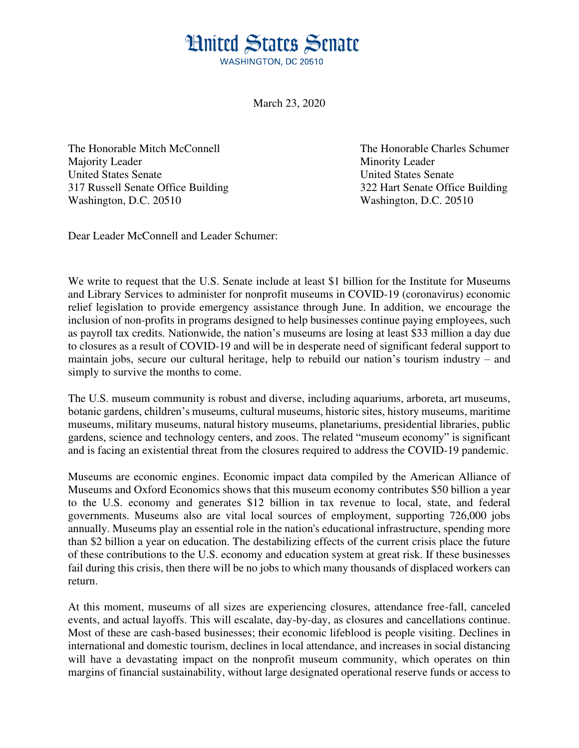## **Hnited States Senate WASHINGTON, DC 20510**

March 23, 2020

The Honorable Mitch McConnell The Honorable Charles Schumer Majority Leader **Minority Leader** Minority Leader United States Senate United States Senate 317 Russell Senate Office Building 322 Hart Senate Office Building Washington, D.C. 20510 Washington, D.C. 20510

Dear Leader McConnell and Leader Schumer:

We write to request that the U.S. Senate include at least \$1 billion for the Institute for Museums and Library Services to administer for nonprofit museums in COVID-19 (coronavirus) economic relief legislation to provide emergency assistance through June. In addition, we encourage the inclusion of non-profits in programs designed to help businesses continue paying employees, such as payroll tax credits. Nationwide, the nation's museums are losing at least \$33 million a day due to closures as a result of COVID-19 and will be in desperate need of significant federal support to maintain jobs, secure our cultural heritage, help to rebuild our nation's tourism industry – and simply to survive the months to come.

The U.S. museum community is robust and diverse, including aquariums, arboreta, art museums, botanic gardens, children's museums, cultural museums, historic sites, history museums, maritime museums, military museums, natural history museums, planetariums, presidential libraries, public gardens, science and technology centers, and zoos. The related "museum economy" is significant and is facing an existential threat from the closures required to address the COVID-19 pandemic.

Museums are economic engines. Economic impact data compiled by the American Alliance of Museums and Oxford Economics shows that this museum economy contributes \$50 billion a year to the U.S. economy and generates \$12 billion in tax revenue to local, state, and federal governments. Museums also are vital local sources of employment, supporting 726,000 jobs annually. Museums play an essential role in the nation's educational infrastructure, spending more than \$2 billion a year on education. The destabilizing effects of the current crisis place the future of these contributions to the U.S. economy and education system at great risk. If these businesses fail during this crisis, then there will be no jobs to which many thousands of displaced workers can return.

At this moment, museums of all sizes are experiencing closures, attendance free-fall, canceled events, and actual layoffs. This will escalate, day-by-day, as closures and cancellations continue. Most of these are cash-based businesses; their economic lifeblood is people visiting. Declines in international and domestic tourism, declines in local attendance, and increases in social distancing will have a devastating impact on the nonprofit museum community, which operates on thin margins of financial sustainability, without large designated operational reserve funds or access to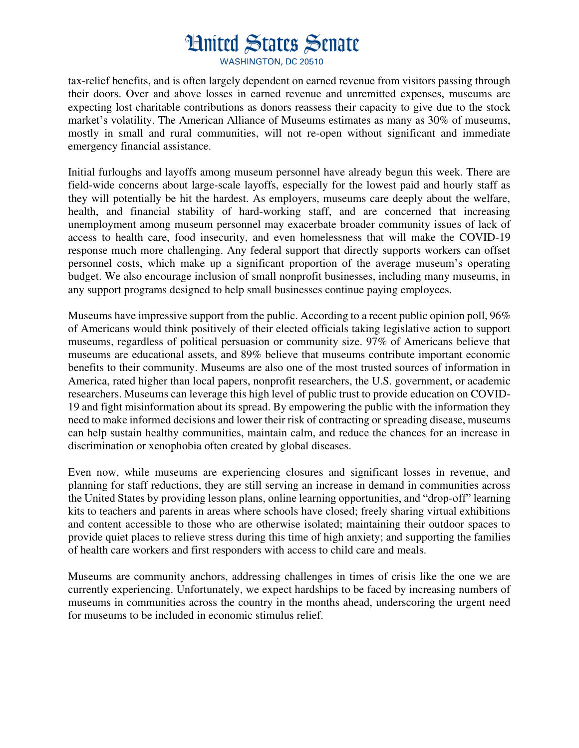## **Hnited States Senate**

**WASHINGTON, DC 20510** 

tax-relief benefits, and is often largely dependent on earned revenue from visitors passing through their doors. Over and above losses in earned revenue and unremitted expenses, museums are expecting lost charitable contributions as donors reassess their capacity to give due to the stock market's volatility. The American Alliance of Museums estimates as many as 30% of museums, mostly in small and rural communities, will not re-open without significant and immediate emergency financial assistance.

Initial furloughs and layoffs among museum personnel have already begun this week. There are field-wide concerns about large-scale layoffs, especially for the lowest paid and hourly staff as they will potentially be hit the hardest. As employers, museums care deeply about the welfare, health, and financial stability of hard-working staff, and are concerned that increasing unemployment among museum personnel may exacerbate broader community issues of lack of access to health care, food insecurity, and even homelessness that will make the COVID-19 response much more challenging. Any federal support that directly supports workers can offset personnel costs, which make up a significant proportion of the average museum's operating budget. We also encourage inclusion of small nonprofit businesses, including many museums, in any support programs designed to help small businesses continue paying employees.

Museums have impressive support from the public. According to a recent public opinion poll, 96% of Americans would think positively of their elected officials taking legislative action to support museums, regardless of political persuasion or community size. 97% of Americans believe that museums are educational assets, and 89% believe that museums contribute important economic benefits to their community. Museums are also one of the most trusted sources of information in America, rated higher than local papers, nonprofit researchers, the U.S. government, or academic researchers. Museums can leverage this high level of public trust to provide education on COVID-19 and fight misinformation about its spread. By empowering the public with the information they need to make informed decisions and lower their risk of contracting or spreading disease, museums can help sustain healthy communities, maintain calm, and reduce the chances for an increase in discrimination or xenophobia often created by global diseases.

Even now, while museums are experiencing closures and significant losses in revenue, and planning for staff reductions, they are still serving an increase in demand in communities across the United States by providing lesson plans, online learning opportunities, and "drop-off" learning kits to teachers and parents in areas where schools have closed; freely sharing virtual exhibitions and content accessible to those who are otherwise isolated; maintaining their outdoor spaces to provide quiet places to relieve stress during this time of high anxiety; and supporting the families of health care workers and first responders with access to child care and meals.

Museums are community anchors, addressing challenges in times of crisis like the one we are currently experiencing. Unfortunately, we expect hardships to be faced by increasing numbers of museums in communities across the country in the months ahead, underscoring the urgent need for museums to be included in economic stimulus relief.